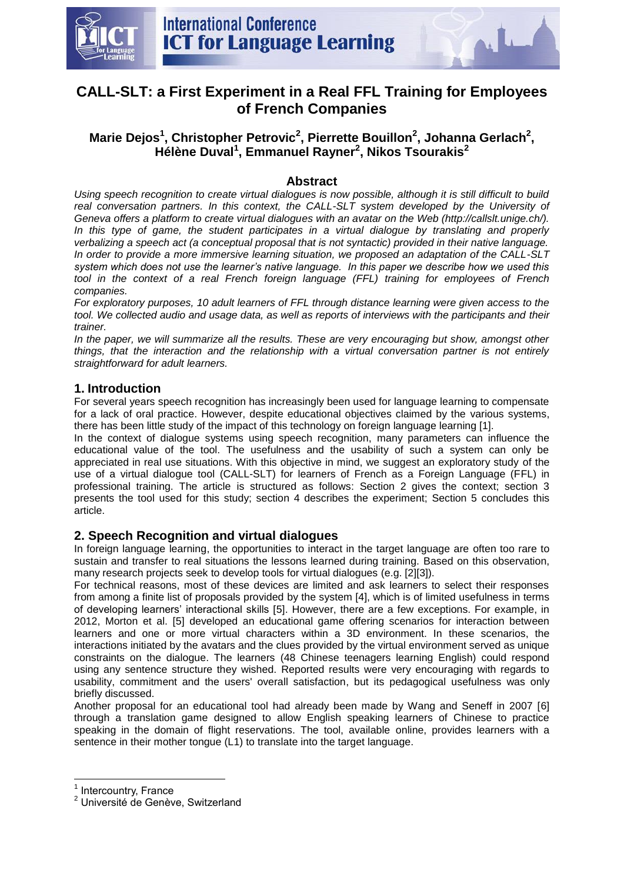

# **CALL-SLT: a First Experiment in a Real FFL Training for Employees of French Companies**

# **Marie Dejos<sup>1</sup> , Christopher Petrovic<sup>2</sup> , Pierrette Bouillon<sup>2</sup> , Johanna Gerlach<sup>2</sup> , Hélène Duval<sup>1</sup> , Emmanuel Rayner<sup>2</sup> , Nikos Tsourakis<sup>2</sup>**

#### **Abstract**

*Using speech recognition to create virtual dialogues is now possible, although it is still difficult to build*  real conversation partners. In this context, the CALL-SLT system developed by the University of *Geneva offers a platform to create virtual dialogues with an avatar on the Web (http://callslt.unige.ch/).*  In this type of game, the student participates in a virtual dialogue by translating and properly *verbalizing a speech act (a conceptual proposal that is not syntactic) provided in their native language. In order to provide a more immersive learning situation, we proposed an adaptation of the CALL-SLT system which does not use the learner's native language. In this paper we describe how we used this tool in the context of a real French foreign language (FFL) training for employees of French companies.* 

*For exploratory purposes, 10 adult learners of FFL through distance learning were given access to the tool. We collected audio and usage data, as well as reports of interviews with the participants and their trainer.* 

*In the paper, we will summarize all the results. These are very encouraging but show, amongst other things, that the interaction and the relationship with a virtual conversation partner is not entirely straightforward for adult learners.* 

### **1. Introduction**

For several years speech recognition has increasingly been used for language learning to compensate for a lack of oral practice. However, despite educational objectives claimed by the various systems, there has been little study of the impact of this technology on foreign language learning [1].

In the context of dialogue systems using speech recognition, many parameters can influence the educational value of the tool. The usefulness and the usability of such a system can only be appreciated in real use situations. With this objective in mind, we suggest an exploratory study of the use of a virtual dialogue tool (CALL-SLT) for learners of French as a Foreign Language (FFL) in professional training. The article is structured as follows: Section 2 gives the context; section 3 presents the tool used for this study; section 4 describes the experiment; Section 5 concludes this article.

### **2. Speech Recognition and virtual dialogues**

In foreign language learning, the opportunities to interact in the target language are often too rare to sustain and transfer to real situations the lessons learned during training. Based on this observation, many research projects seek to develop tools for virtual dialogues (e.g. [2][3]).

For technical reasons, most of these devices are limited and ask learners to select their responses from among a finite list of proposals provided by the system [4], which is of limited usefulness in terms of developing learners' interactional skills [5]. However, there are a few exceptions. For example, in 2012, Morton et al. [5] developed an educational game offering scenarios for interaction between learners and one or more virtual characters within a 3D environment. In these scenarios, the interactions initiated by the avatars and the clues provided by the virtual environment served as unique constraints on the dialogue. The learners (48 Chinese teenagers learning English) could respond using any sentence structure they wished. Reported results were very encouraging with regards to usability, commitment and the users' overall satisfaction, but its pedagogical usefulness was only briefly discussed.

Another proposal for an educational tool had already been made by Wang and Seneff in 2007 [6] through a translation game designed to allow English speaking learners of Chinese to practice speaking in the domain of flight reservations. The tool, available online, provides learners with a sentence in their mother tongue (L1) to translate into the target language.

**.** 

<sup>&</sup>lt;sup>1</sup> Intercountry, France

<sup>2</sup> Université de Genève, Switzerland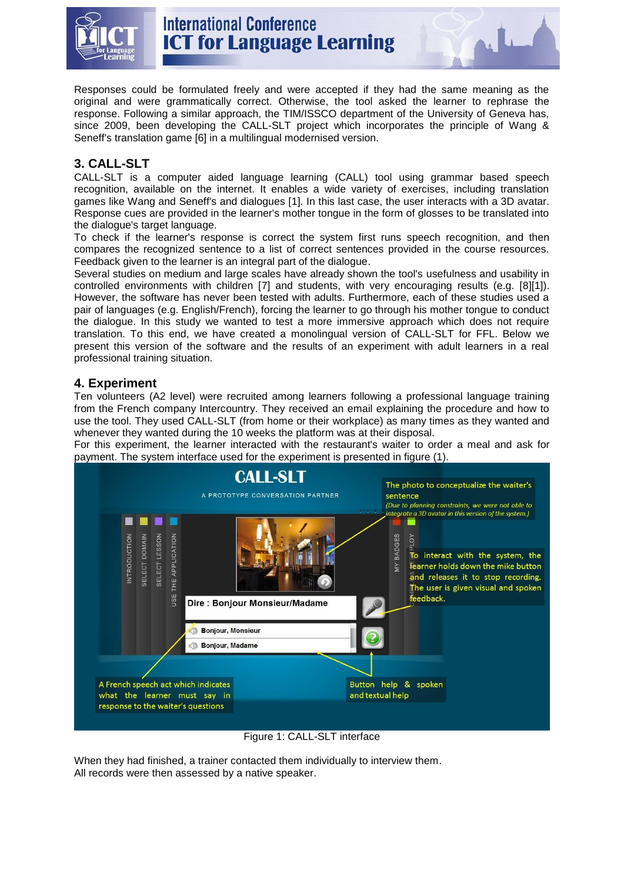

Responses could be formulated freely and were accepted if they had the same meaning as the original and were grammatically correct. Otherwise, the tool asked the learner to rephrase the response. Following a similar approach, the TIM/ISSCO department of the University of Geneva has, since 2009, been developing the CALL-SLT project which incorporates the principle of Wang & Seneff's translation game [6] in a multilingual modernised version.

## **3. CALL-SLT**

CALL-SLT is a computer aided language learning (CALL) tool using grammar based speech recognition, available on the internet. It enables a wide variety of exercises, including translation games like Wang and Seneff's and dialogues [1]. In this last case, the user interacts with a 3D avatar. Response cues are provided in the learner's mother tongue in the form of glosses to be translated into the dialogue's target language.

To check if the learner's response is correct the system first runs speech recognition, and then compares the recognized sentence to a list of correct sentences provided in the course resources. Feedback given to the learner is an integral part of the dialogue.

Several studies on medium and large scales have already shown the tool's usefulness and usability in controlled environments with children [7] and students, with very encouraging results (e.g. [8][1]). However, the software has never been tested with adults. Furthermore, each of these studies used a pair of languages (e.g. English/French), forcing the learner to go through his mother tongue to conduct the dialogue. In this study we wanted to test a more immersive approach which does not require translation. To this end, we have created a monolingual version of CALL-SLT for FFL. Below we present this version of the software and the results of an experiment with adult learners in a real professional training situation.

### **4. Experiment**

Ten volunteers (A2 level) were recruited among learners following a professional language training from the French company Intercountry. They received an email explaining the procedure and how to use the tool. They used CALL-SLT (from home or their workplace) as many times as they wanted and whenever they wanted during the 10 weeks the platform was at their disposal.

For this experiment, the learner interacted with the restaurant's waiter to order a meal and ask for payment. The system interface used for the experiment is presented in figure (1).



Figure 1: CALL-SLT interface

When they had finished, a trainer contacted them individually to interview them. All records were then assessed by a native speaker.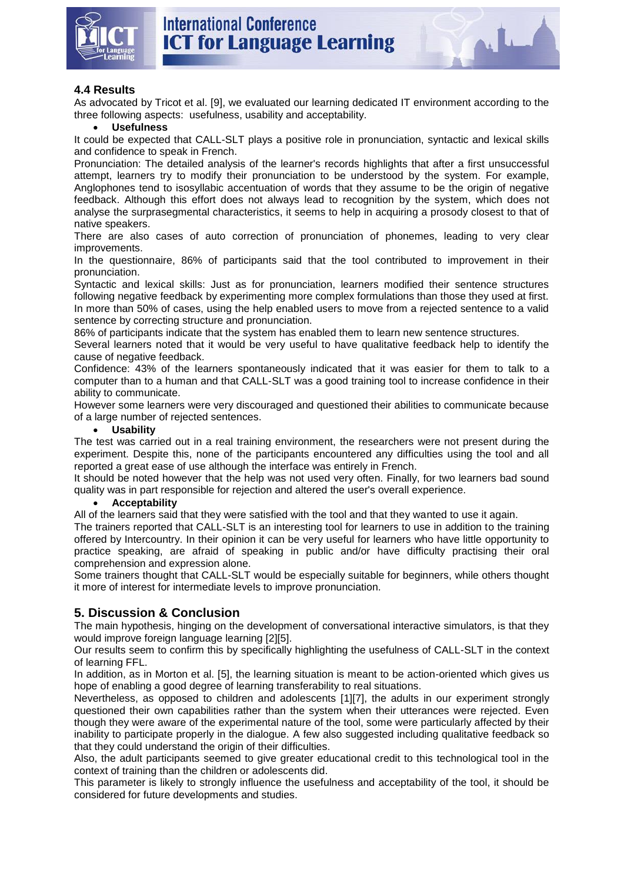

As advocated by Tricot et al. [9], we evaluated our learning dedicated IT environment according to the three following aspects: usefulness, usability and acceptability.

#### **Usefulness**

It could be expected that CALL-SLT plays a positive role in pronunciation, syntactic and lexical skills and confidence to speak in French.

Pronunciation: The detailed analysis of the learner's records highlights that after a first unsuccessful attempt, learners try to modify their pronunciation to be understood by the system. For example, Anglophones tend to isosyllabic accentuation of words that they assume to be the origin of negative feedback. Although this effort does not always lead to recognition by the system, which does not analyse the surprasegmental characteristics, it seems to help in acquiring a prosody closest to that of native speakers.

There are also cases of auto correction of pronunciation of phonemes, leading to very clear improvements.

In the questionnaire, 86% of participants said that the tool contributed to improvement in their pronunciation.

Syntactic and lexical skills: Just as for pronunciation, learners modified their sentence structures following negative feedback by experimenting more complex formulations than those they used at first. In more than 50% of cases, using the help enabled users to move from a rejected sentence to a valid sentence by correcting structure and pronunciation.

86% of participants indicate that the system has enabled them to learn new sentence structures.

Several learners noted that it would be very useful to have qualitative feedback help to identify the cause of negative feedback.

Confidence: 43% of the learners spontaneously indicated that it was easier for them to talk to a computer than to a human and that CALL-SLT was a good training tool to increase confidence in their ability to communicate.

However some learners were very discouraged and questioned their abilities to communicate because of a large number of rejected sentences.

#### **Usability**

The test was carried out in a real training environment, the researchers were not present during the experiment. Despite this, none of the participants encountered any difficulties using the tool and all reported a great ease of use although the interface was entirely in French.

It should be noted however that the help was not used very often. Finally, for two learners bad sound quality was in part responsible for rejection and altered the user's overall experience.

#### **Acceptability**

All of the learners said that they were satisfied with the tool and that they wanted to use it again.

The trainers reported that CALL-SLT is an interesting tool for learners to use in addition to the training offered by Intercountry. In their opinion it can be very useful for learners who have little opportunity to practice speaking, are afraid of speaking in public and/or have difficulty practising their oral comprehension and expression alone.

Some trainers thought that CALL-SLT would be especially suitable for beginners, while others thought it more of interest for intermediate levels to improve pronunciation.

#### **5. Discussion & Conclusion**

The main hypothesis, hinging on the development of conversational interactive simulators, is that they would improve foreign language learning [2][5].

Our results seem to confirm this by specifically highlighting the usefulness of CALL-SLT in the context of learning FFL.

In addition, as in Morton et al. [5], the learning situation is meant to be action-oriented which gives us hope of enabling a good degree of learning transferability to real situations.

Nevertheless, as opposed to children and adolescents [1][7], the adults in our experiment strongly questioned their own capabilities rather than the system when their utterances were rejected. Even though they were aware of the experimental nature of the tool, some were particularly affected by their inability to participate properly in the dialogue. A few also suggested including qualitative feedback so that they could understand the origin of their difficulties.

Also, the adult participants seemed to give greater educational credit to this technological tool in the context of training than the children or adolescents did.

This parameter is likely to strongly influence the usefulness and acceptability of the tool, it should be considered for future developments and studies.